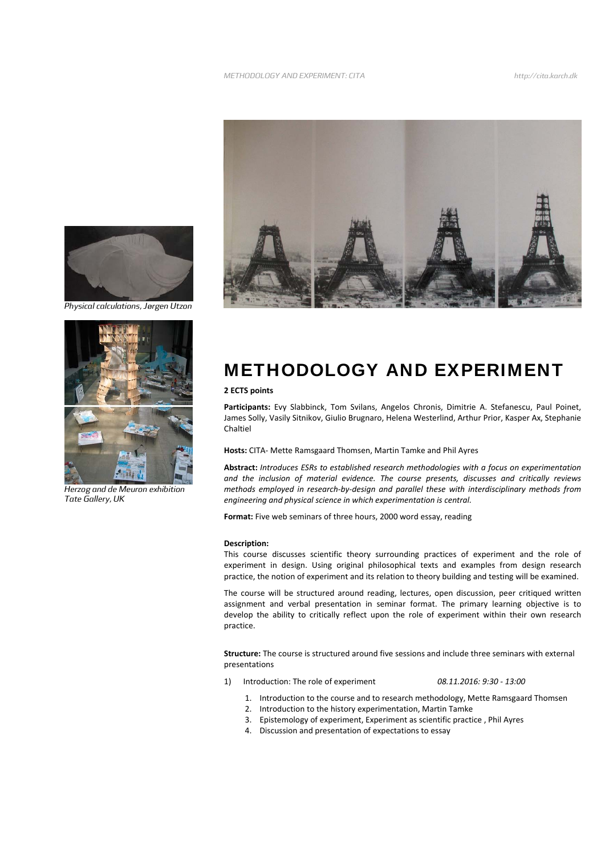

*Physical calculations, Jørgen Utzon* 



*Herzog and de Meuron exhibition Tate Gallery, UK* 



## METHODOLOGY AND EXPERIMENT

## **2 ECTS points**

**Participants:** Evy Slabbinck, Tom Svilans, Angelos Chronis, Dimitrie A. Stefanescu, Paul Poinet, James Solly, Vasily Sitnikov, Giulio Brugnaro, Helena Westerlind, Arthur Prior, Kasper Ax, Stephanie Chaltiel

**Hosts:** CITA‐ Mette Ramsgaard Thomsen, Martin Tamke and Phil Ayres

**Abstract:** *Introduces ESRs to established research methodologies with a focus on experimentation and the inclusion of material evidence. The course presents, discusses and critically reviews methods employed in research‐by‐design and parallel these with interdisciplinary methods from engineering and physical science in which experimentation is central.*

**Format:** Five web seminars of three hours, 2000 word essay, reading

## **Description:**

This course discusses scientific theory surrounding practices of experiment and the role of experiment in design. Using original philosophical texts and examples from design research practice, the notion of experiment and its relation to theory building and testing will be examined.

The course will be structured around reading, lectures, open discussion, peer critiqued written assignment and verbal presentation in seminar format. The primary learning objective is to develop the ability to critically reflect upon the role of experiment within their own research practice.

**Structure:** The course is structured around five sessions and include three seminars with external presentations

1) Introduction: The role of experiment *08.11.2016: 9:30 ‐ 13:00*

- 1. Introduction to the course and to research methodology, Mette Ramsgaard Thomsen
- 2. Introduction to the history experimentation, Martin Tamke
- 3. Epistemology of experiment, Experiment as scientific practice , Phil Ayres
- 4. Discussion and presentation of expectations to essay